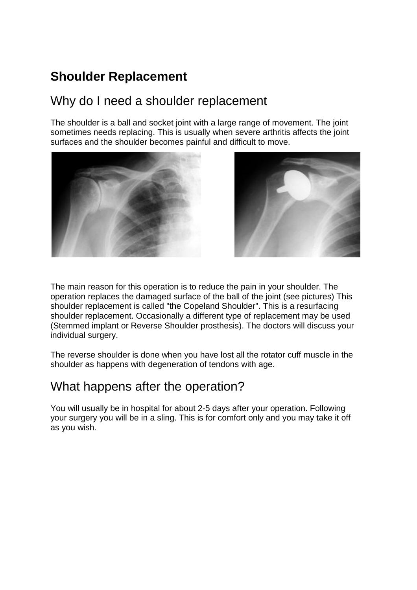# **Shoulder Replacement**

### Why do I need a shoulder replacement

The shoulder is a ball and socket joint with a large range of movement. The joint sometimes needs replacing. This is usually when severe arthritis affects the joint surfaces and the shoulder becomes painful and difficult to move.





The main reason for this operation is to reduce the pain in your shoulder. The operation replaces the damaged surface of the ball of the joint (see pictures) This shoulder replacement is called "the Copeland Shoulder". This is a resurfacing shoulder replacement. Occasionally a different type of replacement may be used (Stemmed implant or Reverse Shoulder prosthesis). The doctors will discuss your individual surgery.

The reverse shoulder is done when you have lost all the rotator cuff muscle in the shoulder as happens with degeneration of tendons with age.

#### What happens after the operation?

You will usually be in hospital for about 2-5 days after your operation. Following your surgery you will be in a sling. This is for comfort only and you may take it off as you wish.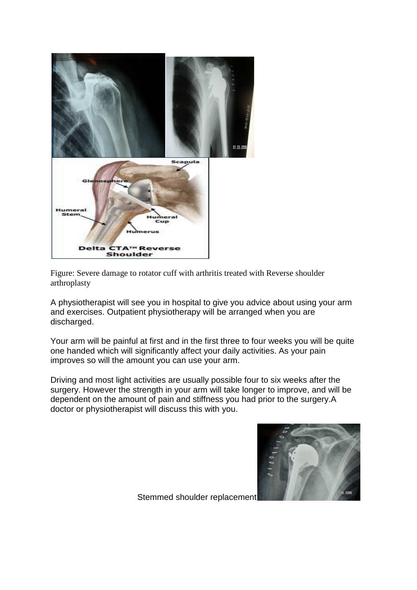

Figure: Severe damage to rotator cuff with arthritis treated with Reverse shoulder arthroplasty

A physiotherapist will see you in hospital to give you advice about using your arm and exercises. Outpatient physiotherapy will be arranged when you are discharged.

Your arm will be painful at first and in the first three to four weeks you will be quite one handed which will significantly affect your daily activities. As your pain improves so will the amount you can use your arm.

Driving and most light activities are usually possible four to six weeks after the surgery. However the strength in your arm will take longer to improve, and will be dependent on the amount of pain and stiffness you had prior to the surgery.A doctor or physiotherapist will discuss this with you.



Stemmed shoulder replacement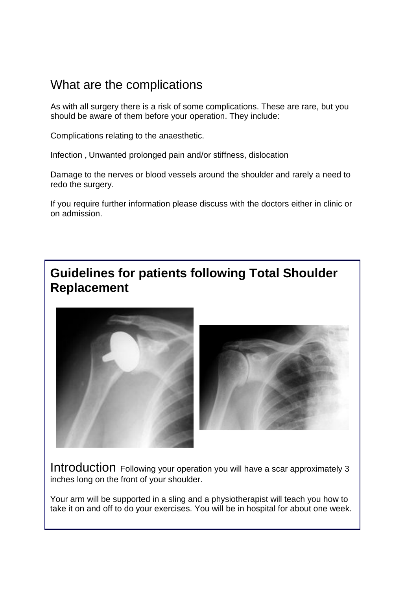## What are the complications

As with all surgery there is a risk of some complications. These are rare, but you should be aware of them before your operation. They include:

Complications relating to the anaesthetic.

Infection , Unwanted prolonged pain and/or stiffness, dislocation

Damage to the nerves or blood vessels around the shoulder and rarely a need to redo the surgery.

If you require further information please discuss with the doctors either in clinic or on admission.

# **Guidelines for patients following Total Shoulder Replacement**



Introduction Following your operation you will have a scar approximately 3 inches long on the front of your shoulder.

Your arm will be supported in a sling and a physiotherapist will teach you how to take it on and off to do your exercises. You will be in hospital for about one week.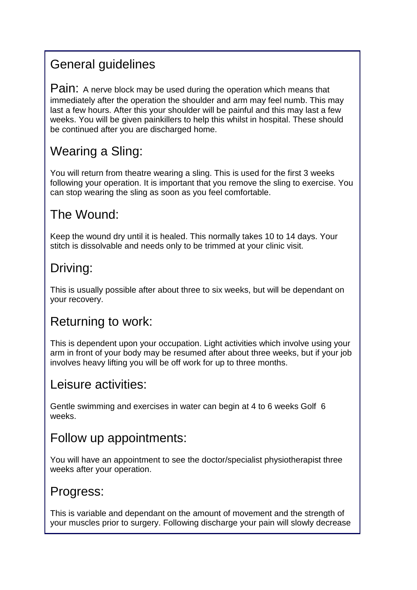# General guidelines

Pain: A nerve block may be used during the operation which means that immediately after the operation the shoulder and arm may feel numb. This may last a few hours. After this your shoulder will be painful and this may last a few weeks. You will be given painkillers to help this whilst in hospital. These should be continued after you are discharged home.

# Wearing a Sling:

You will return from theatre wearing a sling. This is used for the first 3 weeks following your operation. It is important that you remove the sling to exercise. You can stop wearing the sling as soon as you feel comfortable.

## The Wound:

Keep the wound dry until it is healed. This normally takes 10 to 14 days. Your stitch is dissolvable and needs only to be trimmed at your clinic visit.

# Driving:

This is usually possible after about three to six weeks, but will be dependant on your recovery.

# Returning to work:

This is dependent upon your occupation. Light activities which involve using your arm in front of your body may be resumed after about three weeks, but if your job involves heavy lifting you will be off work for up to three months.

#### Leisure activities:

Gentle swimming and exercises in water can begin at 4 to 6 weeks Golf 6 weeks.

# Follow up appointments:

You will have an appointment to see the doctor/specialist physiotherapist three weeks after your operation.

## Progress:

This is variable and dependant on the amount of movement and the strength of your muscles prior to surgery. Following discharge your pain will slowly decrease